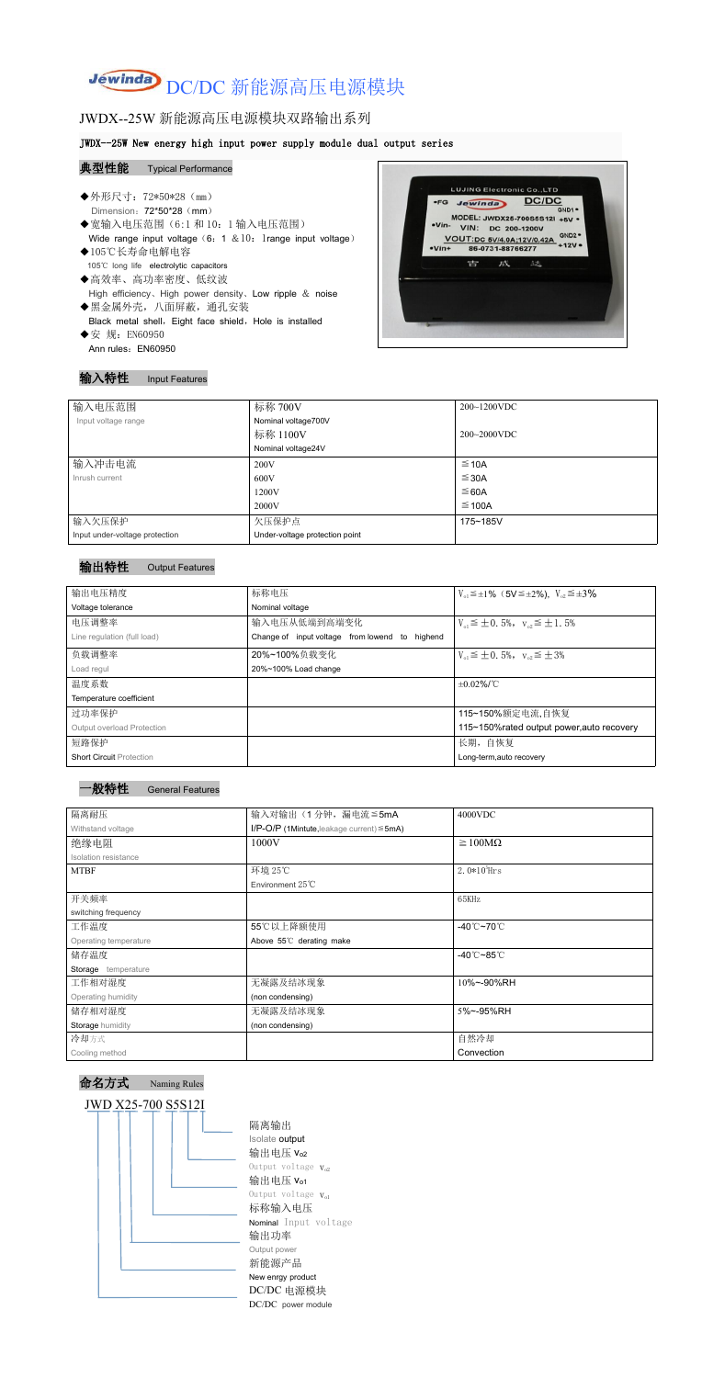# Jewinda DC/DC 新能源高压电源模块

# JWDX--25W 新能源高压电源模块双路输出系列

#### JWDX--25W New energy high input power supply module dual output series

#### 典型性能 Typical Performance

- ◆外形尺寸: 72\*50\*28 (mm) Dimension: 72\*50\*28 (mm) → MODEL: JWDX25-700S5S12I +5V →<br>
●宽输入电压范围 (6:1 和 10: 1 输入电压范围) → MODEL: JWDX25-700S5S12I +5V →<br>
Wide range input voltage (6: 1 & 10: 1range input voltage) → VIN: DC 200-1200V<br>
→ VIn+ 86-0731-88766277 +12V → VIN: - 10 Wide range input voltage (6: 1 & 10: 1range input voltage)  $\frac{V}{\sqrt{V}}$ ◆105℃长寿命电解电容 105℃ long life electrolytic capacitors
- ◆高效率、高功率密度、低纹波 High efficiency、High power density、Low ripple & noise
- ◆黑金属外壳,八面屏蔽,通孔安装 Black metal shell, Eight face shield, Hole is installed ◆安 规: EN60950
- Ann rules: EN60950



#### 输入特性 Input Features

| 输入电压范围                         | 标称 700V                        | $200~1200$ VDC   |
|--------------------------------|--------------------------------|------------------|
| Input voltage range            | Nominal voltage700V            |                  |
|                                | 标称 1100V                       | $200 - 2000$ VDC |
|                                | Nominal voltage24V             |                  |
| 输入冲击电流                         | 200V                           | $\leq$ 10A       |
| Inrush current                 | 600V                           | $\leq$ 30A       |
|                                | 1200V                          | ≤ 60A            |
|                                | 2000V                          | $\leq$ 100A      |
| 输入欠压保护                         | 欠压保护点                          | 175~185V         |
| Input under-voltage protection | Under-voltage protection point |                  |

### 输出特性 Output Features



命名方式 Naming Rules



隔离输出 Isolate output 输出电压 Vo2 Output voltage  $V_{o2}$ 输出电压  $V_{01}$ Output voltage  $V_{o1}$ 标称输入电压 Nominal Input voltage 输出功率 Output power 新能源产品 New enrgy product DC/DC 电源模块 DC/DC power module

| 输出电压精度                            | 标称电压                                           | $V_{01} \leq \pm 1\%$ (5V $\leq \pm 2\%$ ), $V_{02} \leq \pm 3\%$ |
|-----------------------------------|------------------------------------------------|-------------------------------------------------------------------|
| Voltage tolerance                 | Nominal voltage                                |                                                                   |
| 电压调整率                             | 输入电压从低端到高端变化                                   | $V_{01} \leq \pm 0.5\%$ , $V_{02} \leq \pm 1.5\%$                 |
| Line regulation (full load)       | Change of input voltage from lowend to highend |                                                                   |
| 负载调整率                             | 20%~100%负载变化                                   | $V_{01} \leq \pm 0.5\%$ , $V_{02} \leq \pm 3\%$                   |
| Load regul                        | 20%~100% Load change                           |                                                                   |
| 温度系数                              |                                                | $\pm 0.02\%$ /°C                                                  |
| Temperature coefficient           |                                                |                                                                   |
| 过功率保护                             |                                                | 115~150%额定电流,自恢复                                                  |
| <b>Output overload Protection</b> |                                                | 115~150% rated output power, auto recovery                        |
| 短路保护                              |                                                | 长期, 自恢复                                                           |
| <b>Short Circuit Protection</b>   |                                                | Long-term, auto recovery                                          |

| 隔离耐压                        | 输入对输出(1分钟,漏电流≦5mA                                  | 4000VDC                                 |
|-----------------------------|----------------------------------------------------|-----------------------------------------|
| Withstand voltage           | $I/P$ -O/P (1Mintute, leakage current) $\leq$ 5mA) |                                         |
| 绝缘电阻                        | 1000V                                              | $\geq 100M\Omega$                       |
| <b>Isolation resistance</b> |                                                    |                                         |
| <b>MTBF</b>                 | 环境 25℃                                             | $2.0*105$ Hrs                           |
|                             | Environment 25°C                                   |                                         |
| 开关频率                        |                                                    | 65KHz                                   |
| switching frequency         |                                                    |                                         |
| 工作温度                        | 55℃以上降额使用                                          | -40 $^{\circ}$ C $\sim$ 70 $^{\circ}$ C |
| Operating temperature       | Above 55°C derating make                           |                                         |
| 储存温度                        |                                                    | $-40^{\circ}$ C $-85^{\circ}$ C         |
| Storage temperature         |                                                    |                                         |
| 工作相对湿度                      | 无凝露及结冰现象                                           | 10%~-90%RH                              |
| Operating humidity          | (non condensing)                                   |                                         |
| 储存相对湿度                      | 无凝露及结冰现象                                           | 5%~-95%RH                               |
| Storage humidity            | (non condensing)                                   |                                         |
| 冷却方式                        |                                                    | 自然冷却                                    |
| Cooling method              |                                                    | Convection                              |